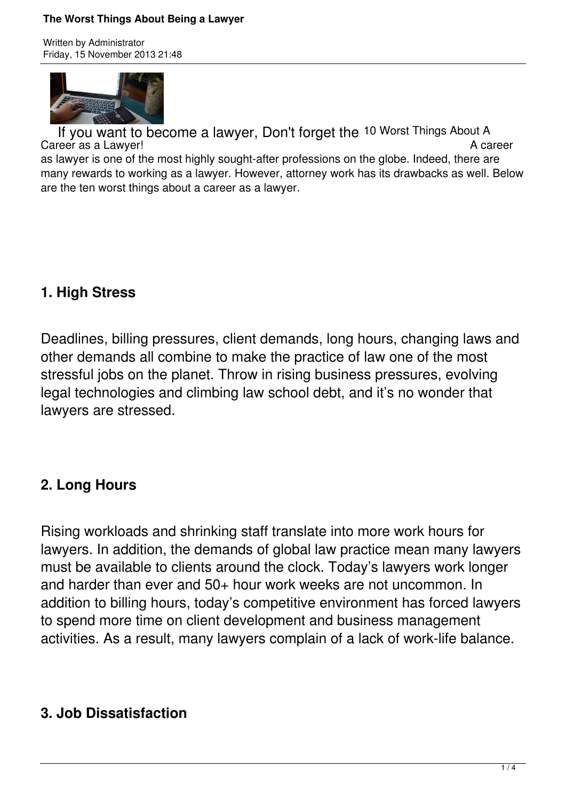#### **The Worst Things About Being a Lawyer**

Written by Administrator Friday, 15 November 2013 21:48



If you want to become a lawyer, Don't forget the 10 Worst Things About A<br>reer as a Lawyer!<br>A career Career as a Lawyer! as lawyer is one of the most highly sought-after professions on the globe. Indeed, there are many rewards to working as a lawyer. However, attorney work has its drawbacks as well. Below are the ten worst things about a career as a lawyer.

## **1. High Stress**

Deadlines, billing pressures, client demands, long hours, changing laws and other demands all combine to make the practice of law one of the most stressful jobs on the planet. Throw in rising business pressures, evolving legal technologies and climbing law school debt, and it's no wonder that lawyers are stressed.

## **2. Long Hours**

Rising workloads and shrinking staff translate into more work hours for lawyers. In addition, the demands of global law practice mean many lawyers must be available to clients around the clock. Today's lawyers work longer and harder than ever and 50+ hour work weeks are not uncommon. In addition to billing hours, today's competitive environment has forced lawyers to spend more time on client development and business management activities. As a result, many lawyers complain of a lack of work-life balance.

## **3. Job Dissatisfaction**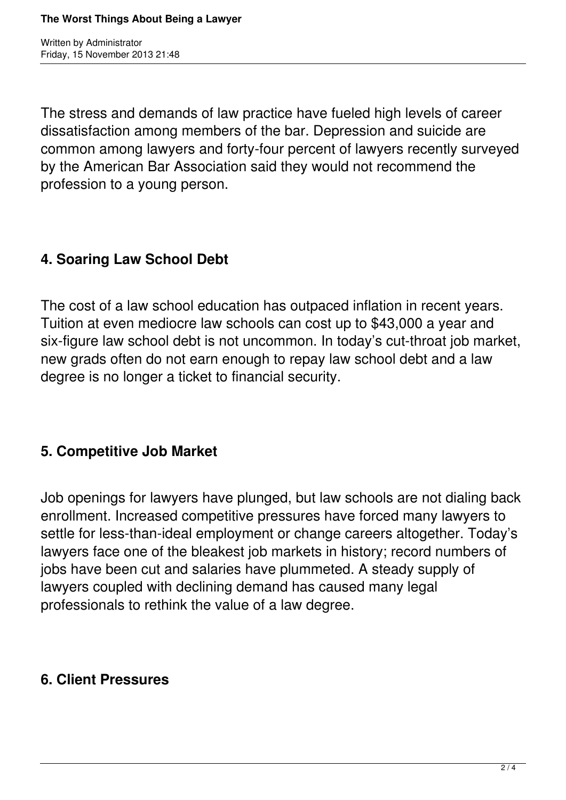Written by Administrator Friday, 15 November 2013 21:48

The stress and demands of law practice have fueled high levels of career dissatisfaction among members of the bar. Depression and suicide are common among lawyers and forty-four percent of lawyers recently surveyed by the American Bar Association said they would not recommend the profession to a young person.

## **4. Soaring Law School Debt**

The cost of a law school education has outpaced inflation in recent years. Tuition at even mediocre law schools can cost up to \$43,000 a year and six-figure law school debt is not uncommon. In today's cut-throat job market, new grads often do not earn enough to repay law school debt and a law degree is no longer a ticket to financial security.

## **5. Competitive Job Market**

Job openings for lawyers have plunged, but law schools are not dialing back enrollment. Increased competitive pressures have forced many lawyers to settle for less-than-ideal employment or change careers altogether. Today's lawyers face one of the bleakest job markets in history; record numbers of jobs have been cut and salaries have plummeted. A steady supply of lawyers coupled with declining demand has caused many legal professionals to rethink the value of a law degree.

## **6. Client Pressures**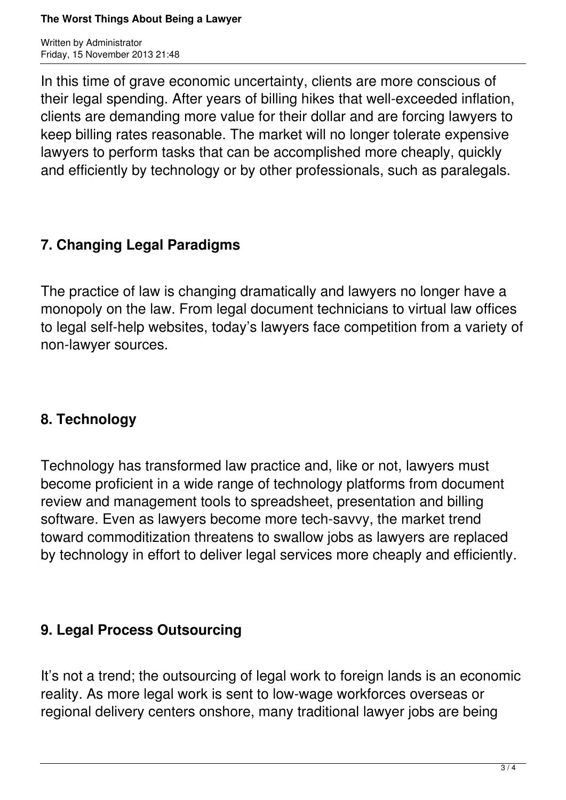Written by Administrator Friday, 15 November 2013 21:48

In this time of grave economic uncertainty, clients are more conscious of their legal spending. After years of billing hikes that well-exceeded inflation, clients are demanding more value for their dollar and are forcing lawyers to keep billing rates reasonable. The market will no longer tolerate expensive lawyers to perform tasks that can be accomplished more cheaply, quickly and efficiently by technology or by other professionals, such as paralegals.

# **7. Changing Legal Paradigms**

The practice of law is changing dramatically and lawyers no longer have a monopoly on the law. From legal document technicians to virtual law offices to legal self-help websites, today's lawyers face competition from a variety of non-lawyer sources.

## **8. Technology**

Technology has transformed law practice and, like or not, lawyers must become proficient in a wide range of technology platforms from document review and management tools to spreadsheet, presentation and billing software. Even as lawyers become more tech-savvy, the market trend toward commoditization threatens to swallow jobs as lawyers are replaced by technology in effort to deliver legal services more cheaply and efficiently.

## **9. Legal Process Outsourcing**

It's not a trend; the outsourcing of legal work to foreign lands is an economic reality. As more legal work is sent to low-wage workforces overseas or regional delivery centers onshore, many traditional lawyer jobs are being